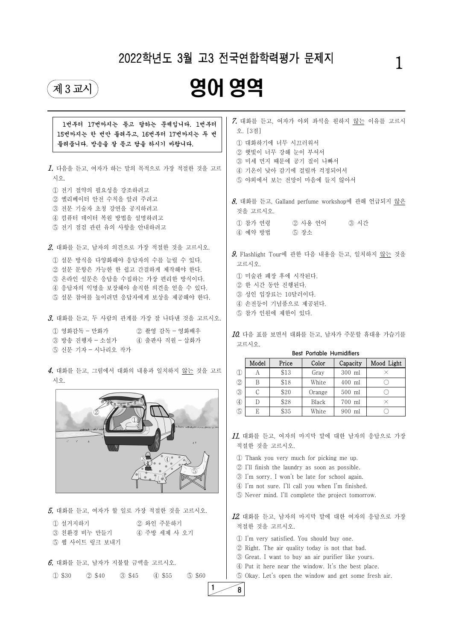$6.$  대화를 듣고, 남자가 지불할 금액을 고르시오. ① \$30 ② \$40 ③ \$45 ④ \$55 ⑤ \$60

5. 대화를 듣고, 여자가 할 일로 가장 적절한 것을 고르시오. ① 설거지하기 ② 와인 주문하기 ③ 친환경 비누 만들기 ④ 주방 세제 사 오기 ⑤ 웹 사이트 링크 보내기

| 1번부터 17번까지는 듣고 답하는 문제입니다. 1번부터<br>15번까지는 한 번만 들려주고, 16번부터 17번까지는 두 번<br>들려줍니다. 방송을 잘 듣고 답을 하시기 바랍니다.                                                                                                                 | 오. [3점]             |               | 1 대화하기에 너무 시끄러워서                                                              |                                                                                                                                            |                                                  | 7. 대화를 듣고, 여자가 야외 좌석을 원하지 않는 이유를 고르시              |
|----------------------------------------------------------------------------------------------------------------------------------------------------------------------------------------------------------------------|---------------------|---------------|-------------------------------------------------------------------------------|--------------------------------------------------------------------------------------------------------------------------------------------|--------------------------------------------------|---------------------------------------------------|
| 1. 다음을 듣고, 여자가 하는 말의 목적으로 가장 적절한 것을 고르<br>시오.                                                                                                                                                                        |                     |               | 2 햇빛이 너무 강해 눈이 부셔서                                                            | 3 미세 먼지 때문에 공기 질이 나빠서<br>4 기온이 낮아 감기에 걸릴까 걱정되어서<br>5 야외에서 보는 전망이 마음에 들지 않아서                                                                |                                                  |                                                   |
| 1 전기 절약의 필요성을 강조하려고<br>② 엘리베이터 안전 수칙을 알려 주려고<br>3 전문 기술자 초청 강연을 공지하려고<br>4 컴퓨터 데이터 복원 방법을 설명하려고                                                                                                                      | 것을 고르시오.<br>① 참가 연령 |               |                                                                               | ② 사용 언어                                                                                                                                    | ③ 시간                                             | $8.$ 대화를 듣고, Galland perfume workshop에 관해 언급되지 않은 |
| 5 전기 점검 관련 유의 사항을 안내하려고                                                                                                                                                                                              | 4) 예약 방법            |               |                                                                               | 5) 장소                                                                                                                                      |                                                  |                                                   |
| 2. 대화를 듣고, 남자의 의견으로 가장 적절한 것을 고르시오.<br>1 설문 방식을 다양화해야 응답자의 수를 늘릴 수 있다.<br>2 설문 문항은 가능한 한 쉽고 간결하게 제작해야 한다.<br>3 온라인 설문은 응답을 수집하는 가장 편리한 방식이다.<br>4 응답자의 익명을 보장해야 솔직한 의견을 얻을 수 있다.<br>5 설문 참여를 높이려면 응답자에게 보상을 제공해야 한다. | 고르시오.               |               | 1 미술관 폐장 후에 시작된다.<br>2 한 시간 동안 진행된다.<br>3 성인 입장료는 10달러이다.<br>5 참가 인원에 제한이 있다. | 4 손전등이 기념품으로 제공된다.                                                                                                                         |                                                  | 9. Flashlight Tour에 관한 다음 내용을 듣고, 일치하지 않는 것을      |
| 3. 대화를 듣고, 두 사람의 관계를 가장 잘 나타낸 것을 고르시오.                                                                                                                                                                               |                     |               |                                                                               |                                                                                                                                            |                                                  |                                                   |
| 1 영화감독 - 만화가 2 촬영 감독 - 영화배우<br>3) 방송 진행자 - 소설가<br>④ 출판사 직원 – 삽화가                                                                                                                                                     |                     |               |                                                                               |                                                                                                                                            |                                                  | $10$ . 다음 표를 보면서 대화를 듣고, 남자가 주문할 휴대용 가습기를         |
| 5 신문 기자 - 시나리오 작가                                                                                                                                                                                                    | 고르시오.               |               |                                                                               |                                                                                                                                            |                                                  |                                                   |
|                                                                                                                                                                                                                      |                     | Model         | Price                                                                         | <b>Best Portable Humidifiers</b><br>Color                                                                                                  | Capacity                                         | Mood Light                                        |
| 4. 대화를 듣고, 그림에서 대화의 내용과 일치하지 <u>않는</u> 것을 고르                                                                                                                                                                         | $\mathcal{D}$       | А             | \$13                                                                          | Gray                                                                                                                                       | 300 ml                                           | $\times$                                          |
| 시오.                                                                                                                                                                                                                  | $\circled{2}$       | B             | \$18                                                                          | White                                                                                                                                      | 400 ml                                           | $\bigcirc$                                        |
|                                                                                                                                                                                                                      | $\circled{3}$       | $\mathcal{C}$ | \$20                                                                          | Orange                                                                                                                                     | 500 ml                                           | $\bigcirc$                                        |
|                                                                                                                                                                                                                      | $\bigcirc$          | D             | \$28                                                                          | <b>Black</b>                                                                                                                               | 700 ml                                           | $\times$                                          |
| 2                                                                                                                                                                                                                    | $\circledS$         | E             | \$35                                                                          | White                                                                                                                                      | 900 ml                                           | $\bigcirc$                                        |
| $\mathcal{O}^{\mathcal{O}}(\mathcal{O}^{\mathcal{O}})$<br>$\overline{h}$<br>$\pm$<br>$\circled{4}$                                                                                                                   |                     |               | 적절한 것을 고르시오.                                                                  | Thank you very much for picking me up.<br>2 I'll finish the laundry as soon as possible.<br>3 I'm sorry. I won't be late for school again. |                                                  | $11.$ 대화를 듣고, 여자의 마지막 말에 대한 남자의 응답으로 가장           |
|                                                                                                                                                                                                                      |                     |               |                                                                               |                                                                                                                                            | 4 I'm not sure. I'll call you when I'm finished. |                                                   |

 $1$  8



⑤ Never mind. I'll complete the project tomorrow.

12. 대화를 듣고, 남자의 마지막 말에 대한 여자의 응답으로 가장 적절한 것을 고르시오.

① I'm very satisfied. You should buy one. ② Right. The air quality today is not that bad. ③ Great. I want to buy an air purifier like yours. ④ Put it here near the window. It's the best place. ⑤ Okay. Let's open the window and get some fresh air.

## 2022학년도 3월 고3 전국연합학력평가 문제지

# 1

# $\begin{picture}(45,10) \put(0,0){\line(1,0){100}} \put(15,10){\line(1,0){100}} \put(15,10){\line(1,0){100}} \put(15,10){\line(1,0){100}} \put(15,10){\line(1,0){100}} \put(15,10){\line(1,0){100}} \put(15,10){\line(1,0){100}} \put(15,10){\line(1,0){100}} \put(15,10){\line(1,0){100}} \put(15,10){\line(1,0){100}} \put(15,10){\line$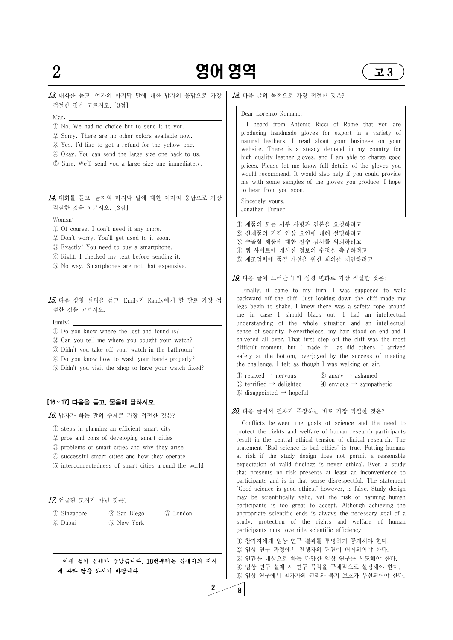### 13. 대화를 듣고, 여자의 마지막 말에 대한 남자의 응답으로 가장 적절한 것을 고르시오. [3점]

- Man:<br>1 No. We had no choice but to send it to you.
- ② Sorry. There are no other colors available now.
- ③ Yes. I'd like to get a refund for the yellow one.
- ④ Okay. You can send the large size one back to us.
- ⑤ Sure. We'll send you a large size one immediately.

### $14.$  대화를 듣고, 남자의 마지막 말에 대한 여자의 응답으로 가장 적절한 것을 고르시오. [3점]

- Woman: ① Of course. I don't need it any more.
- ② Don't worry. You'll get used to it soon.
- ③ Exactly! You need to buy a smartphone.
- ④ Right. I checked my text before sending it.
- ⑤ No way. Smartphones are not that expensive.

#### 15. 다음 상황 설명을 듣고, Emily가 Randy에게 할 말로 가장 적 절한 것을 고르시오.

- Emily: ① Do you know where the lost and found is?
- ② Can you tell me where you bought your watch?
- ③ Didn't you take off your watch in the bathroom?
- ④ Do you know how to wash your hands properly?
- ⑤ Didn't you visit the shop to have your watch fixed?

#### [16 ~ 17] 다음을 듣고, 물음에 답하시오.

#### 16. 남자가 하는 말의 주제로 가장 적절한 것은?

- ① steps in planning an efficient smart city
- ② pros and cons of developing smart cities
- ③ problems of smart cities and why they arise
- ④ successful smart cities and how they operate
- ⑤ interconnectedness of smart cities around the world

#### 17. 언급된 도시가 아닌 것은?

| 1 Singapore | ② San Diego | 3 London |
|-------------|-------------|----------|
| 4 Dubai     | 5 New York  |          |

이제 듣기 문제가 끝났습니다. 18번부터는 문제지의 지시 에 따라 답을 하시기 바랍니다.

#### 18. 다음 글의 목적으로 가장 적절한 것은?

#### Dear Lorenzo Romano,

| $\mathbb{D}$ relaxed $\rightarrow$ nervous       | $(2)$ angry $\rightarrow$ ashamed         |
|--------------------------------------------------|-------------------------------------------|
| $\circled{3}$ terrified $\rightarrow$ delighted  | $\circ$ envious $\rightarrow$ sympathetic |
| $\circled{5}$ disappointed $\rightarrow$ hopeful |                                           |

I heard from Antonio Ricci of Rome that you are producing handmade gloves for export in a variety of natural leathers. I read about your business on your website. There is a steady demand in my country for high quality leather gloves, and I am able to charge good prices. Please let me know full details of the gloves you would recommend. It would also help if you could provide me with some samples of the gloves you produce. I hope to hear from you soon.

Sincerely yours, Jonathan Turner

- ① 제품의 모든 세부 사항과 견본을 요청하려고
- ② 신제품의 가격 인상 요인에 대해 설명하려고
- ③ 수출할 제품에 대한 전수 검사를 의뢰하려고
- ④ 웹 사이트에 게시한 정보의 수정을 촉구하려고
- ⑤ 제조업체에 품질 개선을 위한 회의를 제안하려고

#### 19. 다음 글에 드러난 'I'의 심경 변화로 가장 적절한 것은?

Finally, it came to my turn. I was supposed to walk backward off the cliff. Just looking down the cliff made my legs begin to shake. I knew there was a safety rope around me in case I should black out. I had an intellectual understanding of the whole situation and an intellectual sense of security. Nevertheless, my hair stood on end and I shivered all over. That first step off the cliff was the most difficult moment, but I made it — as did others. I arrived safely at the bottom, overjoyed by the success of meeting the challenge. I felt as though I was walking on air.

#### 20. 다음 글에서 필자가 주장하는 바로 가장 적절한 것은?

Conflicts between the goals of science and the need to protect the rights and welfare of human research participants result in the central ethical tension of clinical research. The statement "Bad science is bad ethics" is true. Putting humans at risk if the study design does not permit a reasonable expectation of valid findings is never ethical. Even a study that presents no risk presents at least an inconvenience to participants and is in that sense disrespectful. The statement

"Good science is good ethics," however, is false. Study design may be scientifically valid, yet the risk of harming human participants is too great to accept. Although achieving the appropriate scientific ends is always the necessary goal of a study, protection of the rights and welfare of human participants must override scientific efficiency.

① 참가자에게 임상 연구 결과를 투명하게 공개해야 한다. ② 임상 연구 과정에서 진행자의 편견이 배제되어야 한다. ③ 인간을 대상으로 하는 다양한 임상 연구를 시도해야 한다. ④ 임상 연구 설계 시 연구 목적을 구체적으로 설정해야 한다. ⑤ 임상 연구에서 참가자의 권리와 복지 보호가 우선되어야 한다.

 $2\frac{8}{ }$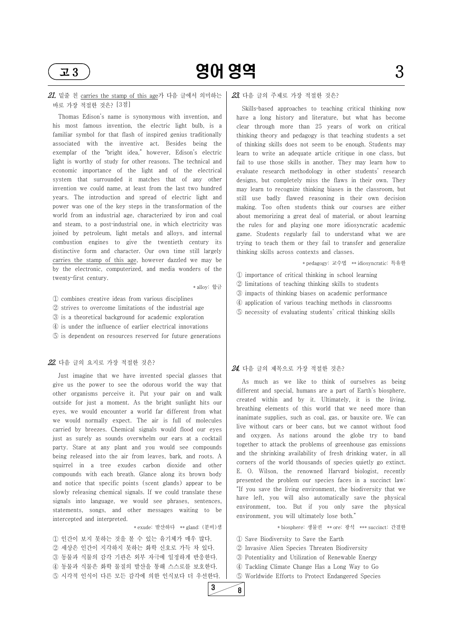

### $21.$  밑줄 친 carries the stamp of this age가 다음 글에서 의미하는 바로 가장 적절한 것은? [3점]

Thomas Edison's name is synonymous with invention, and his most famous invention, the electric light bulb, is a familiar symbol for that flash of inspired genius traditionally associated with the inventive act. Besides being the exemplar of the "bright idea," however, Edison's electric light is worthy of study for other reasons. The technical and economic importance of the light and of the electrical system that surrounded it matches that of any other invention we could name, at least from the last two hundred years. The introduction and spread of electric light and power was one of the key steps in the transformation of the world from an industrial age, characterized by iron and coal and steam, to a post-industrial one, in which electricity was joined by petroleum, light metals and alloys, and internal combustion engines to give the twentieth century its distinctive form and character. Our own time still largely carries the stamp of this age, however dazzled we may be by the electronic, computerized, and media wonders of the twenty‑first century.

\* alloy: 합금

① combines creative ideas from various disciplines ② strives to overcome limitations of the industrial age

- 
- ③ is a theoretical background for academic exploration
- ④ is under the influence of earlier electrical innovations
- ⑤ is dependent on resources reserved for future generations

#### 22. 다음 글의 요지로 가장 적절한 것은?

Skills-based approaches to teaching critical thinking now have a long history and literature, but what has become clear through more than 25 years of work on critical thinking theory and pedagogy is that teaching students a set of thinking skills does not seem to be enough. Students may learn to write an adequate article critique in one class, but fail to use those skills in another. They may learn how to evaluate research methodology in other students' research designs, but completely miss the flaws in their own. They may learn to recognize thinking biases in the classroom, but still use badly flawed reasoning in their own decision making. Too often students think our courses are either about memorizing a great deal of material, or about learning the rules for and playing one more idiosyncratic academic game. Students regularly fail to understand what we are trying to teach them or they fail to transfer and generalize thinking skills across contexts and classes.

Just imagine that we have invented special glasses that give us the power to see the odorous world the way that other organisms perceive it. Put your pair on and walk outside for just a moment. As the bright sunlight hits our eyes, we would encounter a world far different from what we would normally expect. The air is full of molecules carried by breezes. Chemical signals would flood our eyes just as surely as sounds overwhelm our ears at a cocktail party. Stare at any plant and you would see compounds being released into the air from leaves, bark, and roots. A squirrel in a tree exudes carbon dioxide and other compounds with each breath. Glance along its brown body and notice that specific points (scent glands) appear to be

slowly releasing chemical signals. If we could translate these signals into language, we would see phrases, sentences, statements, songs, and other messages waiting to be intercepted and interpreted.

\* exude: 발산하다 \*\* gland: (분비)샘

① 인간이 보지 못하는 것을 볼 수 있는 유기체가 매우 많다. ② 세상은 인간이 지각하지 못하는 화학 신호로 가득 차 있다. ③ 동물과 식물의 감각 기관은 외부 자극에 일정하게 반응한다. ④ 동물과 식물은 화학 물질의 발산을 통해 스스로를 보호한다. ⑤ 시각적 인식이 다른 모든 감각에 의한 인식보다 더 우선한다.

#### 23. 다음 글의 주제로 가장 적절한 것은?

\* pedagogy: 교수법 \*\* idiosyncratic: 특유한

- ① importance of critical thinking in school learning
- ② limitations of teaching thinking skills to students
- ③ impacts of thinking biases on academic performance
- ④ application of various teaching methods in classrooms
- ⑤ necessity of evaluating students' critical thinking skills

#### 24. 다음 글의 제목으로 가장 적절한 것은?

As much as we like to think of ourselves as being different and special, humans are a part of Earth's biosphere, created within and by it. Ultimately, it is the living, breathing elements of this world that we need more than inanimate supplies, such as coal, gas, or bauxite ore. We can live without cars or beer cans, but we cannot without food and oxygen. As nations around the globe try to band together to attack the problems of greenhouse gas emissions and the shrinking availability of fresh drinking water, in all corners of the world thousands of species quietly go extinct. E. O. Wilson, the renowned Harvard biologist, recently presented the problem our species faces in a succinct law:

"If you save the living environment, the biodiversity that we have left, you will also automatically save the physical environment, too. But if you only save the physical environment, you will ultimately lose both."

\* biosphere: 생물권 \*\* ore: 광석 \*\*\* succinct: 간결한

① Save Biodiversity to Save the Earth ② Invasive Alien Species Threaten Biodiversity ③ Potentiality and Utilization of Renewable Energy ④ Tackling Climate Change Has a Long Way to Go ⑤ Worldwide Efforts to Protect Endangered Species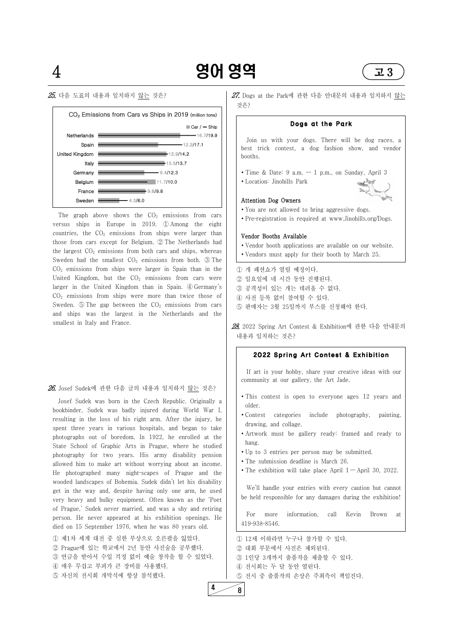### $25.$  다음 도표의 내용과 일치하지 않는 것은?





The graph above shows the  $CO<sub>2</sub>$  emissions from cars versus ships in Europe in 2019. ① Among the eight countries, the  $CO<sub>2</sub>$  emissions from ships were larger than those from cars except for Belgium. ② The Netherlands had the largest  $CO<sub>2</sub>$  emissions from both cars and ships, whereas Sweden had the smallest  $CO<sub>2</sub>$  emissions from both.  $\circled{3}$  The  $CO<sub>2</sub>$  emissions from ships were larger in Spain than in the United Kingdom, but the  $CO<sub>2</sub>$  emissions from cars were larger in the United Kingdom than in Spain. ④ Germany's  $CO<sub>2</sub>$  emissions from ships were more than twice those of Sweden.  $\odot$  The gap between the CO<sub>2</sub> emissions from cars and ships was the largest in the Netherlands and the smallest in Italy and France.

#### $26$ . Josef Sudek에 관한 다음 글의 내용과 일치하지 않는 것은?

 $27$ . Dogs at the Park에 관한 다음 안내문의 내용과 일치하지 않는 것은?

- ∙ You are not allowed to bring aggressive dogs.
- Pre-registration is required at www.Jinohills.org/Dogs.

Josef Sudek was born in the Czech Republic. Originally a bookbinder, Sudek was badly injured during World War I, resulting in the loss of his right arm. After the injury, he spent three years in various hospitals, and began to take photographs out of boredom. In 1922, he enrolled at the State School of Graphic Arts in Prague, where he studied photography for two years. His army disability pension allowed him to make art without worrying about an income. He photographed many night‑scapes of Prague and the wooded landscapes of Bohemia. Sudek didn't let his disability get in the way and, despite having only one arm, he used very heavy and bulky equipment. Often known as the 'Poet of Prague,' Sudek never married, and was a shy and retiring person. He never appeared at his exhibition openings. He died on 15 September 1976, when he was 80 years old.

- ∙ This contest is open to everyone ages 12 years and older.
- ∙ Contest categories include photography, painting, drawing, and collage.
- ∙ Artwork must be gallery ready: framed and ready to hang.
- ∙ Up to 3 entries per person may be submitted.
- ∙ The submission deadline is March 26.
- The exhibition will take place April  $1 -$ April 30, 2022.

① 제1차 세계 대전 중 심한 부상으로 오른팔을 잃었다. ② Prague에 있는 학교에서 2년 동안 사진술을 공부했다. ③ 연금을 받아서 수입 걱정 없이 예술 창작을 할 수 있었다. ④ 매우 무겁고 부피가 큰 장비를 사용했다. ⑤ 자신의 전시회 개막식에 항상 참석했다.

#### Dogs at the Park

Join us with your dogs. There will be dog races, a best trick contest, a dog fashion show, and vendor booths.

- ∙ Time & Date: 9 a.m. 1 p.m., on Sunday, April 3
- ∙ Location: Jinohills Park

#### Attention Dog Owners



#### Vendor Booths Available

- ∙ Vendor booth applications are available on our website.
- ∙ Vendors must apply for their booth by March 25.

① 개 패션쇼가 열릴 예정이다.

- ② 일요일에 네 시간 동안 진행된다.
- ③ 공격성이 있는 개는 데려올 수 없다.
- ④ 사전 등록 없이 참여할 수 있다.
- ⑤ 판매자는 3월 25일까지 부스를 신청해야 한다.

28. 2022 Spring Art Contest & Exhibition에 관한 다음 안내문의 내용과 일치하는 것은?

#### 2022 Spring Art Contest & Exhibition

If art is your hobby, share your creative ideas with our community at our gallery, the Art Jade.

We'll handle your entries with every caution but cannot be held responsible for any damages during the exhibition!

For more information, call Kevin Brown at 419‑938‑8546.

① 12세 이하라면 누구나 참가할 수 있다. ② 대회 부문에서 사진은 제외된다. ③ 1인당 3개까지 출품작을 제출할 수 있다. ④ 전시회는 두 달 동안 열린다. ⑤ 전시 중 출품작의 손상은 주최측이 책임진다.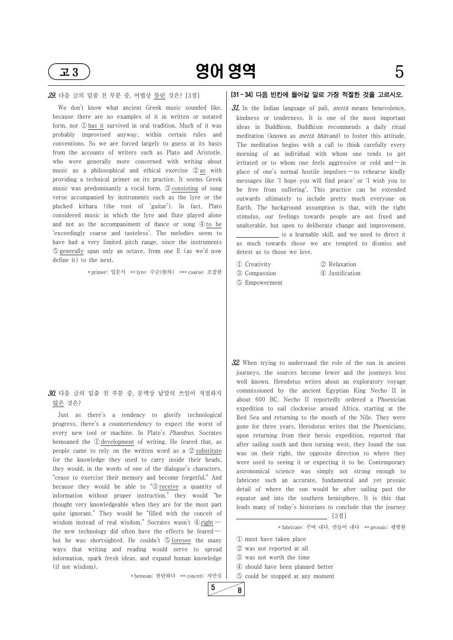

 $\overline{23}$  901 영역 5

#### 29. 다음 글의 밑줄 친 부분 중, 어법상 틀린 것은? [3점]

We don't know what ancient Greek music sounded like, because there are no examples of it in written or notated form, nor ① has it survived in oral tradition. Much of it was probably improvised anyway, within certain rules and conventions. So we are forced largely to guess at its basis from the accounts of writers such as Plato and Aristotle, who were generally more concerned with writing about music as a philosophical and ethical exercise 2 as with providing a technical primer on its practice. It seems Greek music was predominantly a vocal form, ③ consisting of sung verse accompanied by instruments such as the lyre or the plucked kithara (the root of 'guitar'). In fact, Plato considered music in which the lyre and flute played alone and not as the accompaniment of dance or song  $\Phi$  to be 'exceedingly coarse and tasteless'. The melodies seem to have had a very limited pitch range, since the instruments ⑤ generally span only an octave, from one E (as we'd now define it) to the next.

\* primer: 입문서 \*\* lyre: 수금(竪琴) \*\*\* coarse: 조잡한 | 3 Compassion

because they would be able to " $\mathcal{D}$  receive a quantity of information without proper instruction," they would "be thought very knowledgeable when they are for the most part quite ignorant." They would be "filled with the conceit of wisdom instead of real wisdom." Socrates wasn't  $\Phi$  right  $$ the new technology did often have the effects he feared  $$ but he was shortsighted. He couldn't ⑤ foresee the many ways that writing and reading would serve to spread information, spark fresh ideas, and expand human knowledge (if not wisdom).

#### 30. 다음 글의 밑줄 친 부분 중, 문맥상 낱말의 쓰임이 적절하지 않은 것은?

Just as there's a tendency to glorify technological progress, there's a countertendency to expect the worst of every new tool or machine. In Plato's Phaedrus, Socrates bemoaned the ① development of writing. He feared that, as people came to rely on the written word as a ② substitute for the knowledge they used to carry inside their heads, they would, in the words of one of the dialogue's characters, "cease to exercise their memory and become forgetful." And

31. In the Indian language of pali, *mettā* means benevolence, kindness or tenderness. It is one of the most important ideas in Buddhism. Buddhism recommends a daily ritual meditation (known as mettā bhāvanā) to foster this attitude. The meditation begins with a call to think carefully every morning of an individual with whom one tends to get irritated or to whom one feels aggressive or cold and  $-\text{in}$ place of one's normal hostile impulses — to rehearse kindly messages like 'I hope you will find peace' or 'I wish you to be free from suffering'. This practice can be extended outwards ultimately to include pretty much everyone on Earth. The background assumption is that, with the right stimulus, our feelings towards people are not fixed and unalterable, but open to deliberate change and improvement.

 $32$ . When trying to understand the role of the sun in ancient journeys, the sources become fewer and the journeys less well known. Herodotus writes about an exploratory voyage commissioned by the ancient Egyptian King Necho II in about 600 BC. Necho II reportedly ordered a Phoenician expedition to sail clockwise around Africa, starting at the Red Sea and returning to the mouth of the Nile. They were gone for three years. Herodotus writes that the Phoenicians, upon returning from their heroic expedition, reported that after sailing south and then turning west, they found the sun was on their right, the opposite direction to where they were used to seeing it or expecting it to be. Contemporary astronomical science was simply not strong enough to fabricate such an accurate, fundamental and yet prosaic detail of where the sun would be after sailing past the equator and into the southern hemisphere. It is this that leads many of today's historians to conclude that the journey . [3점]

\* bemoan: 한탄하다 \*\* conceit: 자만심

### [31 ~ 34] 다음 빈칸에 들어갈 말로 가장 적절한 것을 고르시오.

 is a learnable skill, and we need to direct it as much towards those we are tempted to dismiss and detest as to those we love.

- ① Creativity ② Relaxation
- 
- ③ Compassion ④ Justification
- ⑤ Empowerment

\* fabricate: 꾸며 내다, 만들어 내다 \*\* prosaic: 평범한

① must have taken place ② was not reported at all ③ was not worth the time ④ should have been planned better ⑤ could be stopped at any moment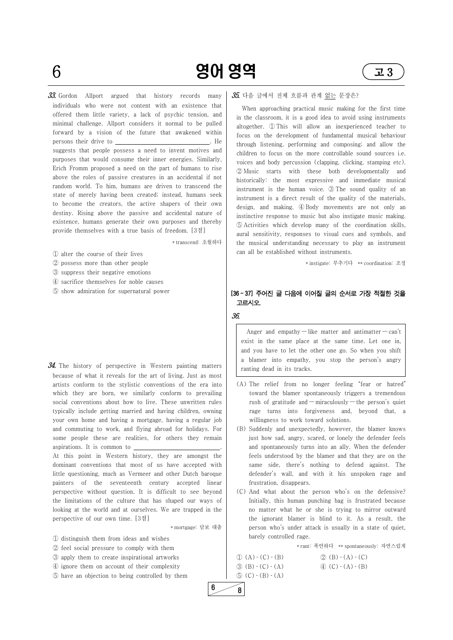

 $6$  **901 영역**  $\sqrt{23}$ 

 $33.$  Gordon Allport argued that history records many individuals who were not content with an existence that offered them little variety, a lack of psychic tension, and minimal challenge. Allport considers it normal to be pulled forward by a vision of the future that awakened within persons their drive to . He suggests that people possess a need to invent motives and purposes that would consume their inner energies. Similarly, Erich Fromm proposed a need on the part of humans to rise above the roles of passive creatures in an accidental if not random world. To him, humans are driven to transcend the state of merely having been created; instead, humans seek to become the creators, the active shapers of their own destiny. Rising above the passive and accidental nature of existence, humans generate their own purposes and thereby provide themselves with a true basis of freedom. [3점]

 $34$ . The history of perspective in Western painting matters because of what it reveals for the art of living. Just as most artists conform to the stylistic conventions of the era into which they are born, we similarly conform to prevailing social conventions about how to live. These unwritten rules typically include getting married and having children, owning your own home and having a mortgage, having a regular job and commuting to work, and flying abroad for holidays. For some people these are realities, for others they remain aspirations. It is common to . At this point in Western history, they are amongst the

\* transcend: 초월하다

- ① alter the course of their lives
- ② possess more than other people
- ③ suppress their negative emotions
- ④ sacrifice themselves for noble causes
- ⑤ show admiration for supernatural power

Anger and empathy — like matter and antimatter — can't exist in the same place at the same time. Let one in, and you have to let the other one go. So when you shift a blamer into empathy, you stop the person's angry ranting dead in its tracks.

dominant conventions that most of us have accepted with little questioning, much as Vermeer and other Dutch baroque painters of the seventeenth century accepted linear perspective without question. It is difficult to see beyond the limitations of the culture that has shaped our ways of looking at the world and at ourselves. We are trapped in the perspective of our own time. [3점]

#### $35.$  다음 글에서 전체 흐름과 관계 없는 문장은?

\* mortgage: 담보 대출

① distinguish them from ideas and wishes ② feel social pressure to comply with them ③ apply them to create inspirational artworks ④ ignore them on account of their complexity ⑤ have an objection to being controlled by them

When approaching practical music making for the first time in the classroom, it is a good idea to avoid using instruments altogether. ① This will allow an inexperienced teacher to focus on the development of fundamental musical behaviour through listening, performing and composing; and allow the children to focus on the more controllable sound sources i.e. voices and body percussion (clapping, clicking, stamping etc). ② Music starts with these both developmentally and historically: the most expressive and immediate musical instrument is the human voice. ③ The sound quality of an instrument is a direct result of the quality of the materials, design, and making. ④ Body movements are not only an instinctive response to music but also instigate music making. ⑤ Activities which develop many of the coordination skills, aural sensitivity, responses to visual cues and symbols, and the musical understanding necessary to play an instrument can all be established without instruments.

\* instigate: 부추기다 \*\* coordination: 조정

#### [36 ~ 37] 주어진 글 다음에 이어질 글의 순서로 가장 적절한 것을 고르시오.

#### 36.

- (A) The relief from no longer feeling "fear or hatred" toward the blamer spontaneously triggers a tremendous rush of gratitude and — miraculously — the person's quiet rage turns into forgiveness and, beyond that, a willingness to work toward solutions.
- (B) Suddenly and unexpectedly, however, the blamer knows just how sad, angry, scared, or lonely the defender feels and spontaneously turns into an ally. When the defender feels understood by the blamer and that they are on the same side, there's nothing to defend against. The defender's wall, and with it his unspoken rage and frustration, disappears.

- 
- (C) And what about the person who's on the defensive? Initially, this human punching bag is frustrated because no matter what he or she is trying to mirror outward the ignorant blamer is blind to it. As a result, the person who's under attack is usually in a state of quiet, barely controlled rage.

\* rant: 폭언하다 \*\* spontaneously: 자연스럽게

 $\textcircled{1}$  (A) - (C) - (B)  $\textcircled{2}$  (B) - (A) - (C)  $\textcircled{3}$  (B)  $\textcircled{c}$  (C)  $\textcircled{c}$  (A)  $\textcircled{c}$  (C)  $\textcircled{c}$  (A)  $\textcircled{c}$ )  $\circledS$  (C) - (B) - (A)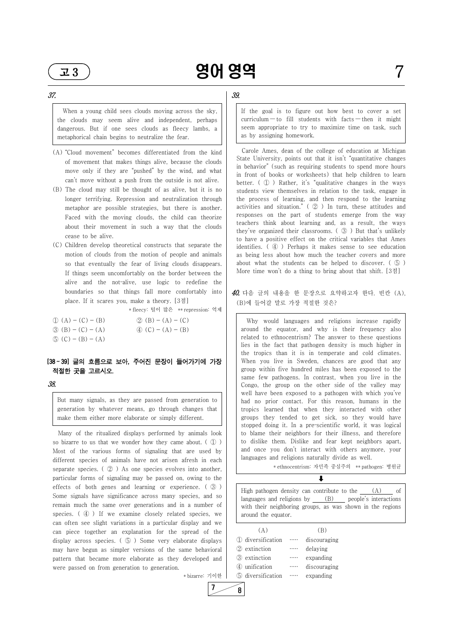37.

When a young child sees clouds moving across the sky, the clouds may seem alive and independent, perhaps dangerous. But if one sees clouds as fleecy lambs, a metaphorical chain begins to neutralize the fear.

- (A) "Cloud movement" becomes differentiated from the kind of movement that makes things alive, because the clouds move only if they are "pushed" by the wind, and what can't move without a push from the outside is not alive.
- (B) The cloud may still be thought of as alive, but it is no longer terrifying. Repression and neutralization through metaphor are possible strategies, but there is another. Faced with the moving clouds, the child can theorize about their movement in such a way that the clouds cease to be alive.
- (C) Children develop theoretical constructs that separate the motion of clouds from the motion of people and animals so that eventually the fear of living clouds disappears. If things seem uncomfortably on the border between the alive and the not-alive, use logic to redefine the boundaries so that things fall more comfortably into place. If it scares you, make a theory. [3점]

\* fleecy: 털이 많은 \*\* repression: 억제

- $\textcircled{1}$  (A) (C) (B)  $\textcircled{2}$  (B) (A) (C)
- $\textcircled{3}$  (B) (C) (A)  $\textcircled{4}$  (C) (A) (B)
- $\circled{5}$  (C) (B) (A)

#### [38 ~ 39] 글의 흐름으로 보아, 주어진 문장이 들어가기에 가장 적절한 곳을 고르시오.

#### 38.

But many signals, as they are passed from generation to generation by whatever means, go through changes that make them either more elaborate or simply different.

Many of the ritualized displays performed by animals look so bizarre to us that we wonder how they came about.  $(\mathbb{D})$ Most of the various forms of signaling that are used by different species of animals have not arisen afresh in each separate species.  $\left( \varphi \right)$  As one species evolves into another, particular forms of signaling may be passed on, owing to the

#### $40$ . 다음 글의 내용을 한 문장으로 요약하고자 한다. 빈칸 (A), (B)에 들어갈 말로 가장 적절한 것은?

effects of both genes and learning or experience. ( ③ ) Some signals have significance across many species, and so remain much the same over generations and in a number of species. ( 4) If we examine closely related species, we can often see slight variations in a particular display and we can piece together an explanation for the spread of the display across species. ( ⑤ ) Some very elaborate displays may have begun as simpler versions of the same behavioral pattern that became more elaborate as they developed and were passed on from generation to generation.

\* bizarre: 기이한

 $7 \ 8$ 

### 39.

High pathogen density can contribute to the  $(A)$  of languages and religions by (B) people's interactions with their neighboring groups, as was shown in the regions around the equator.

If the goal is to figure out how best to cover a set  $curricular - to fill students with facts - then it might$ seem appropriate to try to maximize time on task, such as by assigning homework.

Carole Ames, dean of the college of education at Michigan State University, points out that it isn't "quantitative changes in behavior" (such as requiring students to spend more hours in front of books or worksheets) that help children to learn better. ( ① ) Rather, it's "qualitative changes in the ways students view themselves in relation to the task, engage in the process of learning, and then respond to the learning activities and situation."  $\left( \oslash \right)$  In turn, these attitudes and responses on the part of students emerge from the way teachers think about learning and, as a result, the ways they've organized their classrooms. ( ③ ) But that's unlikely to have a positive effect on the critical variables that Ames identifies. ( ④ ) Perhaps it makes sense to see education as being less about how much the teacher covers and more about what the students can be helped to discover. ( ⑤ ) More time won't do a thing to bring about that shift. [3점]

Why would languages and religions increase rapidly around the equator, and why is their frequency also related to ethnocentrism? The answer to these questions lies in the fact that pathogen density is much higher in the tropics than it is in temperate and cold climates. When you live in Sweden, chances are good that any group within five hundred miles has been exposed to the same few pathogens. In contrast, when you live in the Congo, the group on the other side of the valley may well have been exposed to a pathogen with which you've had no prior contact. For this reason, humans in the tropics learned that when they interacted with other groups they tended to get sick, so they would have stopped doing it. In a pre‑scientific world, it was logical to blame their neighbors for their illness, and therefore to dislike them. Dislike and fear kept neighbors apart, and once you don't interact with others anymore, your languages and religions naturally divide as well.

\* ethnocentrism: 자민족 중심주의 \*\* pathogen: 병원균

 $\downarrow$ 

| (A)               |          |              |  |
|-------------------|----------|--------------|--|
| 1 diversification | $\cdots$ | discouraging |  |
| 2 extinction      | $\cdots$ | delaying     |  |
| 3 extinction      | $\cdots$ | expanding    |  |
| 4 unification     | $\cdots$ | discouraging |  |
| 5 diversification | .        | expanding    |  |